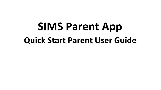# **SIMS Parent App Quick Start Parent User Guide**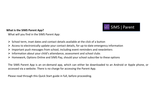

# **What is the SIMS Parent App?**

What will you find in the SIMS Parent App:

- $\triangleright$  School term, inset dates and contact details available at the click of a button
- $\triangleright$  Access to electronically update your contact details, for up-to-date emergency information
- $\triangleright$  Important push messages from school, including event reminders and newsletters
- $\triangleright$  Information about your child's attendance, assessment and school clubs
- $\triangleright$  Homework, Options Online and SIMS Pay, should your school subscribe to these options

The SIMS Parent App is an on-demand app, which can either be downloaded to an Android or Apple phone, or accessed via a website. There is no charge for accessing the Parent App.

Please read through this Quick Start guide in full, before proceeding.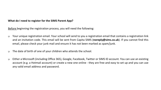# **What do I need to register for the SIMS Parent App?**

Before beginning the registration process, you will need the following:

- Your unique registration email. Your school will send to you a registration email that contains a registration link and an invitation code. This email will be sent from Capita SIMS (**noreply@sims.co.uk**). If you cannot find this email, please check your junk mail and ensure it has not been marked as spam/junk.
- The date of birth of one of your children who attends the school.
- Either a Microsoft (including Office 365), Google, Facebook, Twitter or SIMS ID account. You can use an existing account (e.g. a Hotmail account) or create a new one online - they are free and easy to set up and you can use any valid email address and password.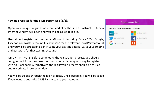# **How do I register for the SIMS Parent App (1/2)?**

Open your unique registration email and click the link as instructed. A new internet window will open and you will be asked to log in.

User should register with either a Microsoft (including Office 365), Google, Facebook or Twitter account. Click the icon for the relevant Third Party account and you will be directed to sign in using your existing details (i.e. your username and password for that existing account).

IMPORTANT NOTE: Before completing the registration process, you should be signed out from the chosen account you're planning on using to register with e.g. Facebook. Alternatively, the registration process should be carried out in a private browser window.

You will be guided through the login process. Once logged in, you will be asked if you want to authorise SIMS Parent to use your account.

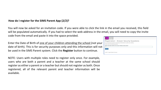# **How do I register for the SIMS Parent App (2/2)?**

You will now be asked for an invitation code. If you were able to click the link in the email you received, this field will be populated automatically. If you had to select the web address in the email, you will need to copy the invite code from the email and paste it into the space provided.

Enter the Date of Birth of one of your children attending the school (not your date of birth). This is for security purposes only and this information will not be used in the SIMS Parent system. Click the **Register** button to continue.

NOTE: Users with multiple roles need to register only once. For example, users who are both a parent and a teacher at the same school should register as either a parent or a teacher but should not register as both. Once registered, all of the relevant parent and teacher information will be available.

| SIMS <sup>1</sup>                                                                   |  |
|-------------------------------------------------------------------------------------|--|
| Registration - Answer Security Questions                                            |  |
| You are required to provide a second piece of information to confirm your identity. |  |
| Please answer the following question.                                               |  |
| What is the date of birth of one of your children at the school?                    |  |
|                                                                                     |  |
| Vexity                                                                              |  |
|                                                                                     |  |
| © 2017 - Capita Children's Services                                                 |  |
|                                                                                     |  |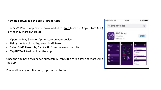# **How do I download the SIMS Parent App?**

The SIMS Parent app can be downloaded for free from the Apple Store (iOS) or the Play Store (Android).

- Open the Play Store or Apple Store on your device.
- Using the Search facility, enter **SIMS Parent**.
- Select **SIMS Parent** by **Capita Plc** from the search results.
- Tap **INSTALL** to download the app.

Once the app has downloaded successfully, tap **Open** to register and start using the app.

Please allow any notifications, if prompted to do so.

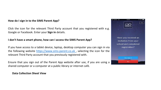### **How do I sign in to the SIMS Parent App?**

Click the icon for the relevant Third Party account that you registered with e.g. Google or Facebook. Enter your **Sign in** details.

# **I don't have a smart phone, how can I access the SIMS Parent App?**

If you have access to a tablet device, laptop, desktop computer you can sign in via the following website [https://www.sims-parent.co.uk](https://www.sims-parent.co.uk/) , selecting the icon for the relevant Third Party account that you previously registered with.

Ensure that you sign out of the Parent App website after use, if you are using a shared computer or a computer at a public library or internet café.

#### **Data Collection Sheet View**

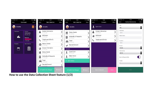

**How to use the Data Collection Sheet feature (1/2)**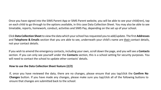Once you have signed into the SIMS Parent App or SIMS Parent website, you will be able to see your child(ren), tap on each child to go through to the options available, in this case Data Collection Sheet. You may also be able to see timetable, reports, homework, conduct, activities and SIMS Pay, depending on the set up of your school.

Click **Data Collection Sheet** to view the data which your school has requested you to add/update. The first **Addresses**  and **Telephone & Emails** section that you are able to see, underneath your child's name are their contact details, not your contact details.

If you wish to amend the emergency contacts, including your own, scroll down the page, and you will see a **Contacts**  section. If you can only see yourself under the **Contacts** section, this is a school setting for security purposes. You will need to contact the school to update other contacts' details.

# **How to use the Data Collection Sheet feature (2/2)**

If, once you have reviewed the data, there are no changes, please ensure that you tap/click the **Confirm No Changes** button. If you have made any changes, please make sure you tap/click all of the following buttons to ensure that changes are submitted back to the school: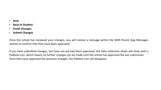- **Save**
- **Back to Student**
- **Finish Changes**
- **Submit Changes**

Once the school has reviewed your changes, you will receive a message within the SIMS Parent App Messages section to confirm that they have been approved.

If you have submitted changes, but have not yet had them approved, the Data Collection Sheet will show with a Padlock icon, which means no further changes can be made until the school has approved the last submission. Once they have approved the previous changes, the Padlock icon will disappear.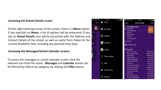#### **Accessing the School Details screen**

On the right hand top corner of the screen, there is a **Menu** option. If you tap/click on **Menu**, a list of options will be presented. If you tap on **School Details**, you will be presented with the Address and Contact Details of the school, as well as useful Term Dates for the current Academic Year, including any planned Inset Days.

#### **Accessing the Messages/School Calendar screens**

To access the messages or school calendar screen, click the relevant icon from the menu. **Messages** and **Calendar** events can be filtered by child or by category, by clicking the **Filter** option.

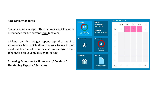#### **Accessing Attendance**

The attendance widget offers parents a quick view of attendance for the current term (not year).

Clicking on the widget opens up the detailed attendance box, which allows parents to see if their child has been marked in for a session and/or lesson (depending on your child's school setup).

**Accessing Assessment / Homework / Conduct / Timetable / Reports / Activities**

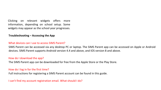Clicking on relevant widgets offers more information, depending on school setup. Some widgets may appear as the school year progresses.

### **Troubleshooting – Accessing the App**

#### What devices can I use to access SIMS Parent?

SIMS Parent can be accessed via any desktop PC or laptop. The SIMS Parent app can be accessed on Apple or Android devices. SIMS Parent supports Android version 4.4 and above, and IOS version 8 and above.

#### How do I download the app?

The SIMS Parent app can be downloaded for free from the Apple Store or the Play Store.

# How do I log in for the first time?

Full instructions for registering a SIMS Parent account can be found in this guide.

I can't find my account registration email. What should I do?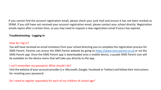If you cannot find the account registration email, please check your junk mail and ensure it has not been marked as SPAM. If you still have not received your account registration email, please contact your school directly. Registration emails expire after a certain time, so you may need to request a new registration email if yours has expired.

# **Troubleshooting - Logging In**

#### How do I log in?

You will have received an email invitation from your school directing you to complete the registration process for SIMS Parent. Parents can access the SIMS Parent website by going to [https://www.sims-parent.co.uk](https://www.sims-parent.co.uk/) or via the SIMS Parent app. Once the SIMS Parent app is downloaded onto a mobile device, a purple SIMS Parent icon will be available on the device menu that will take you directly to the app.

#### I can't remember my password. What should I do?

Visit the website of your account provider (i.e. Microsoft, Google, Facebook or Twitter) and follow their instructions for resetting your password.

Do I need to register separately for each of my children of school age?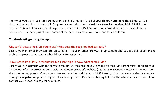No. When you sign in to SIMS Parent, events and information for all of your children attending this school will be displayed in one place. It is possible for parents to use the same login details to register with multiple SIMS Parent schools. This will allow users to change school once inside SIMS Parent from a drop-down menu located on the school name in the top right-hand corner of the page. This means only one app for all children.

# **Troubleshooting – Using the App**

# Why can't I access the SIMS Parent site? Why does the page not load correctly?

Ensure your internet browsers are up-to-date. If your internet browser is up-to-date and you are still experiencing problems, please contact your school directly for assistance.

# I have signed into SIMS Parent before but I can't sign in now. What should I do?

Ensure you are logged in with the correct account (i.e. the account you used during the SIMS Parent registration process). To sign out of an incorrect account, visit the account provider's website (e.g. Google, Facebook, etc.) and sign out. Close the browser completely. Open a new browser window and log in to SIMS Parent, using the account details you used during the registration process. If you still cannot sign in to SIMS Parent having followed the advice in this section, please contact your school directly for assistance.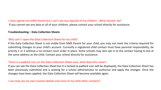# I have signed into SIMS Parent but I can't see any data/all of my children . What should I do?

If you cannot see any data or all of your children, please contact your school directly for assistance.

# **Troubleshooting – Data Collection Sheets**

# Why can't I open the Data Collection Sheet for my child?

If the Data Collection Sheet is not visible from SIMS Parent for your child, you may not meet the criteria required for submitting changes to your child's account. Currently a registered child contact must have parental responsibility, be priority 1 or 2 without a no-contact court order in place. Some schools may also opt in to the contact having to live at the same address as the child. Contact your school directly for assistance.

# There is a padlock icon on the Data Collection Sheet area, what does this mean?

If you can see the Data Collection Sheet but it is locked (a padlock icon will be displayed), the Data Collection Sheet has been previously submitted and is waiting for a school administrator to authorise and apply the changes. Once the changes have been applied, the Data Collection Sheet will become available again.

I can only see my own contact details and none of my child other contacts?